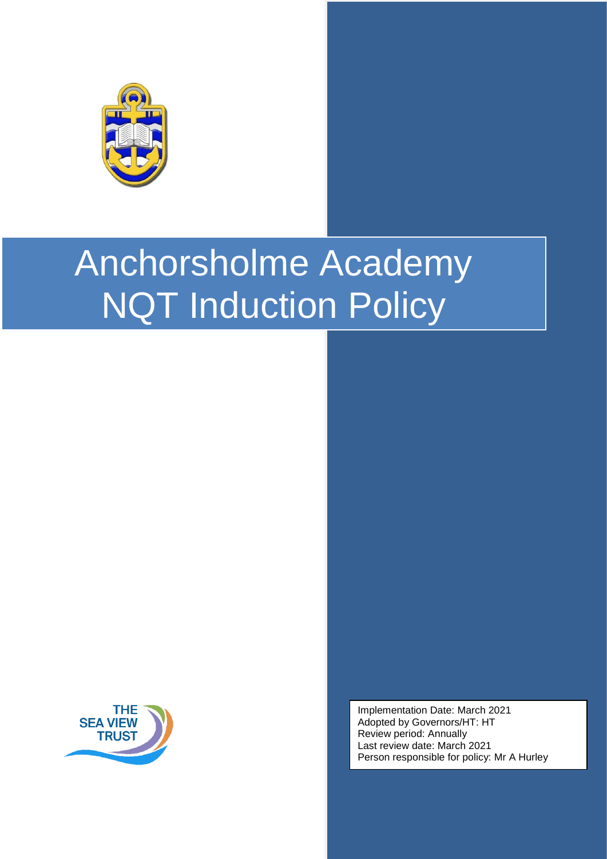

# Anchorsholme Academy NQT Induction Policy



Implementation Date: March 2021 Adopted by Governors/HT: HT Review period: Annually Last review date: March 2021 Person responsible for policy: Mr A Hurley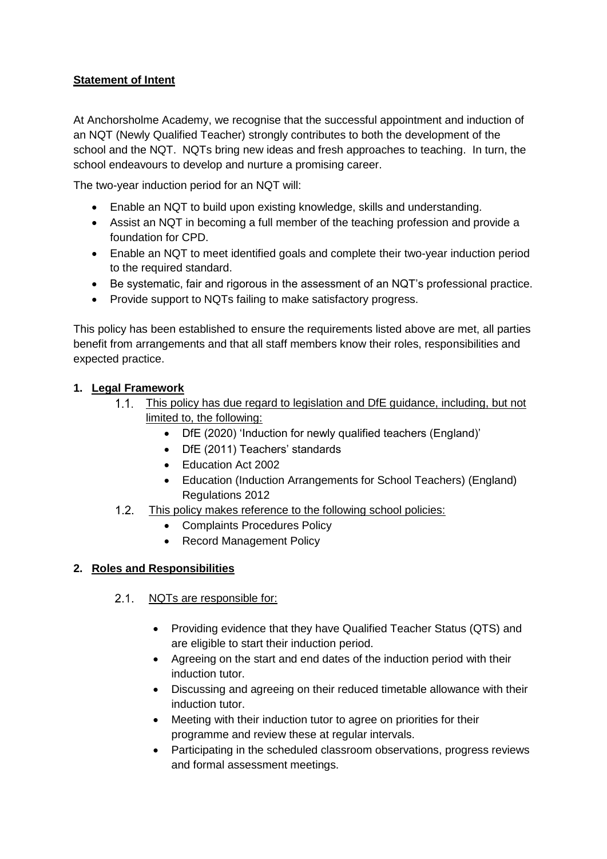# **Statement of Intent**

At Anchorsholme Academy, we recognise that the successful appointment and induction of an NQT (Newly Qualified Teacher) strongly contributes to both the development of the school and the NQT. NQTs bring new ideas and fresh approaches to teaching. In turn, the school endeavours to develop and nurture a promising career.

The two-year induction period for an NQT will:

- Enable an NQT to build upon existing knowledge, skills and understanding.
- Assist an NQT in becoming a full member of the teaching profession and provide a foundation for CPD.
- Enable an NQT to meet identified goals and complete their two-year induction period to the required standard.
- Be systematic, fair and rigorous in the assessment of an NQT's professional practice.
- Provide support to NQTs failing to make satisfactory progress.

This policy has been established to ensure the requirements listed above are met, all parties benefit from arrangements and that all staff members know their roles, responsibilities and expected practice.

#### **1. Legal Framework**

- This policy has due regard to legislation and DfE guidance, including, but not limited to, the following:
	- DfE (2020) 'Induction for newly qualified teachers (England)'
	- DfE (2011) Teachers' standards
	- Education Act 2002
	- Education (Induction Arrangements for School Teachers) (England) Regulations 2012
- $1.2.$ This policy makes reference to the following school policies:
	- Complaints Procedures Policy
	- Record Management Policy

#### **2. Roles and Responsibilities**

- 2.1. NQTs are responsible for:
	- Providing evidence that they have Qualified Teacher Status (QTS) and are eligible to start their induction period.
	- Agreeing on the start and end dates of the induction period with their induction tutor.
	- Discussing and agreeing on their reduced timetable allowance with their induction tutor.
	- Meeting with their induction tutor to agree on priorities for their programme and review these at regular intervals.
	- Participating in the scheduled classroom observations, progress reviews and formal assessment meetings.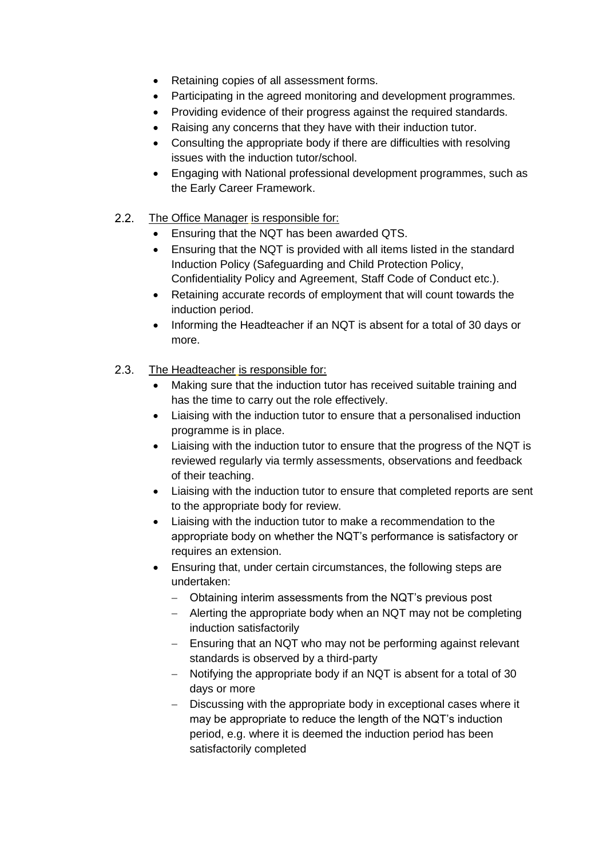- Retaining copies of all assessment forms.
- Participating in the agreed monitoring and development programmes.
- Providing evidence of their progress against the required standards.
- Raising any concerns that they have with their induction tutor.
- Consulting the appropriate body if there are difficulties with resolving issues with the induction tutor/school.
- Engaging with National professional development programmes, such as the Early Career Framework.
- $2.2.$ The Office Manager is responsible for:
	- **Ensuring that the NQT has been awarded QTS.**
	- Ensuring that the NQT is provided with all items listed in the standard Induction Policy (Safeguarding and Child Protection Policy, Confidentiality Policy and Agreement, Staff Code of Conduct etc.).
	- Retaining accurate records of employment that will count towards the induction period.
	- Informing the Headteacher if an NQT is absent for a total of 30 days or more.
- $2.3.$ The Headteacher is responsible for:
	- Making sure that the induction tutor has received suitable training and has the time to carry out the role effectively.
	- Liaising with the induction tutor to ensure that a personalised induction programme is in place.
	- Liaising with the induction tutor to ensure that the progress of the NQT is reviewed regularly via termly assessments, observations and feedback of their teaching.
	- Liaising with the induction tutor to ensure that completed reports are sent to the appropriate body for review.
	- Liaising with the induction tutor to make a recommendation to the appropriate body on whether the NQT's performance is satisfactory or requires an extension.
	- Ensuring that, under certain circumstances, the following steps are undertaken:
		- Obtaining interim assessments from the NQT's previous post
		- $-$  Alerting the appropriate body when an NQT may not be completing induction satisfactorily
		- Ensuring that an NQT who may not be performing against relevant standards is observed by a third-party
		- Notifying the appropriate body if an NQT is absent for a total of 30 days or more
		- Discussing with the appropriate body in exceptional cases where it may be appropriate to reduce the length of the NQT's induction period, e.g. where it is deemed the induction period has been satisfactorily completed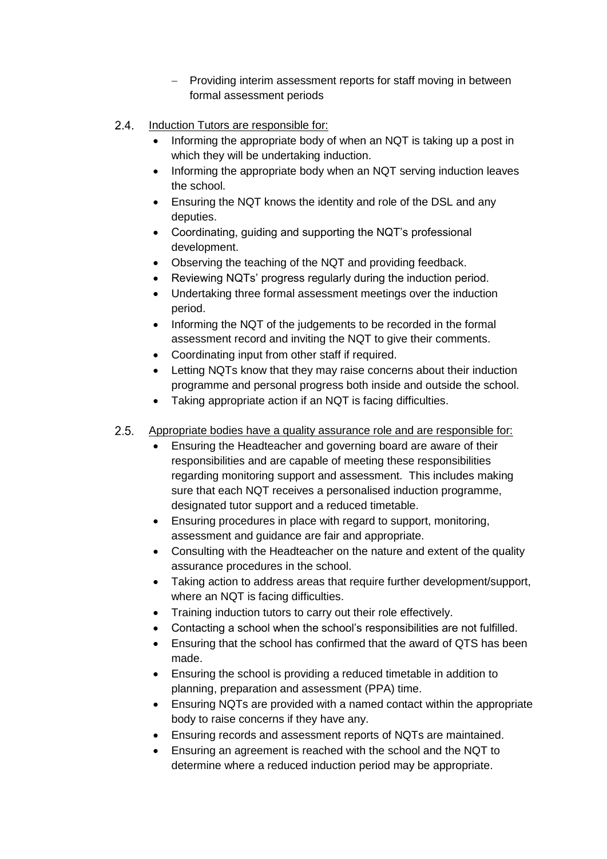- Providing interim assessment reports for staff moving in between formal assessment periods
- 2.4. Induction Tutors are responsible for:
	- Informing the appropriate body of when an NQT is taking up a post in which they will be undertaking induction.
	- Informing the appropriate body when an NQT serving induction leaves the school.
	- Ensuring the NQT knows the identity and role of the DSL and any deputies.
	- Coordinating, guiding and supporting the NQT's professional development.
	- Observing the teaching of the NQT and providing feedback.
	- Reviewing NQTs' progress regularly during the induction period.
	- Undertaking three formal assessment meetings over the induction period.
	- Informing the NQT of the judgements to be recorded in the formal assessment record and inviting the NQT to give their comments.
	- Coordinating input from other staff if required.
	- Letting NQTs know that they may raise concerns about their induction programme and personal progress both inside and outside the school.
	- Taking appropriate action if an NQT is facing difficulties.
- $2.5.$ Appropriate bodies have a quality assurance role and are responsible for:
	- Ensuring the Headteacher and governing board are aware of their responsibilities and are capable of meeting these responsibilities regarding monitoring support and assessment. This includes making sure that each NQT receives a personalised induction programme, designated tutor support and a reduced timetable.
	- Ensuring procedures in place with regard to support, monitoring, assessment and guidance are fair and appropriate.
	- Consulting with the Headteacher on the nature and extent of the quality assurance procedures in the school.
	- Taking action to address areas that require further development/support, where an NQT is facing difficulties.
	- Training induction tutors to carry out their role effectively.
	- Contacting a school when the school's responsibilities are not fulfilled.
	- Ensuring that the school has confirmed that the award of QTS has been made.
	- Ensuring the school is providing a reduced timetable in addition to planning, preparation and assessment (PPA) time.
	- Ensuring NQTs are provided with a named contact within the appropriate body to raise concerns if they have any.
	- Ensuring records and assessment reports of NQTs are maintained.
	- Ensuring an agreement is reached with the school and the NQT to determine where a reduced induction period may be appropriate.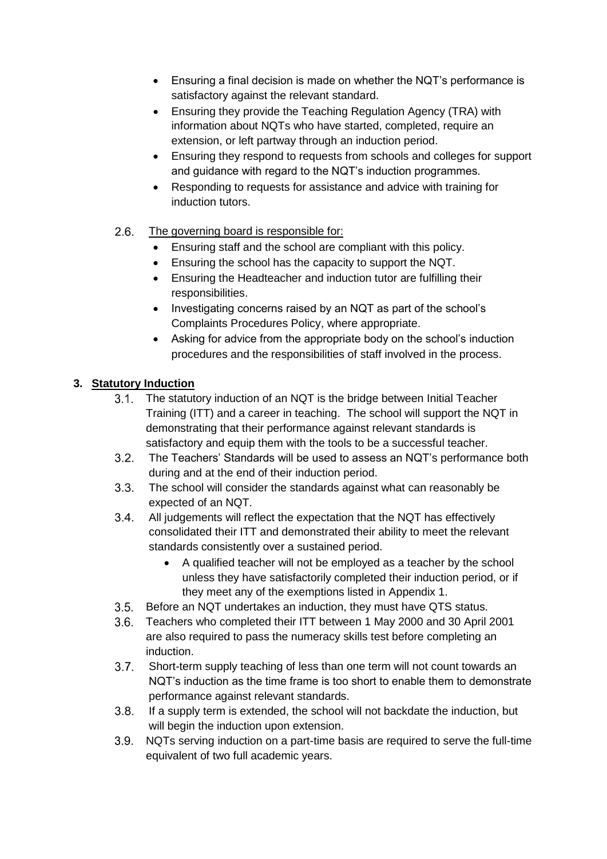- Ensuring a final decision is made on whether the NQT's performance is satisfactory against the relevant standard.
- Ensuring they provide the Teaching Regulation Agency (TRA) with information about NQTs who have started, completed, require an extension, or left partway through an induction period.
- Ensuring they respond to requests from schools and colleges for support and guidance with regard to the NQT's induction programmes.
- Responding to requests for assistance and advice with training for induction tutors.
- $2.6.$ The governing board is responsible for:
	- Ensuring staff and the school are compliant with this policy.
	- Ensuring the school has the capacity to support the NQT.
	- Ensuring the Headteacher and induction tutor are fulfilling their responsibilities.
	- Investigating concerns raised by an NQT as part of the school's Complaints Procedures Policy, where appropriate.
	- Asking for advice from the appropriate body on the school's induction procedures and the responsibilities of staff involved in the process.

## **3. Statutory Induction**

- The statutory induction of an NQT is the bridge between Initial Teacher  $3.1.$ Training (ITT) and a career in teaching. The school will support the NQT in demonstrating that their performance against relevant standards is satisfactory and equip them with the tools to be a successful teacher.
- $3.2.$ The [Teachers' Standards](https://www.gov.uk/government/publications/teachers-standards) will be used to assess an NQT's performance both during and at the end of their induction period.
- $3.3.$ The school will consider the standards against what can reasonably be expected of an NQT.
- $3.4.$ All judgements will reflect the expectation that the NQT has effectively consolidated their ITT and demonstrated their ability to meet the relevant standards consistently over a sustained period.
	- A qualified teacher will not be employed as a teacher by the school unless they have satisfactorily completed their induction period, or if they meet any of the exemptions listed in Appendix 1.
- Before an NQT undertakes an induction, they must have QTS status.
- Teachers who completed their ITT between 1 May 2000 and 30 April 2001 are also required to pass the numeracy skills test before completing an induction.
- $3.7.$ Short-term supply teaching of less than one term will not count towards an NQT's induction as the time frame is too short to enable them to demonstrate performance against relevant standards.
- If a supply term is extended, the school will not backdate the induction, but  $3.8.$ will begin the induction upon extension.
- NQTs serving induction on a part-time basis are required to serve the full-time equivalent of two full academic years.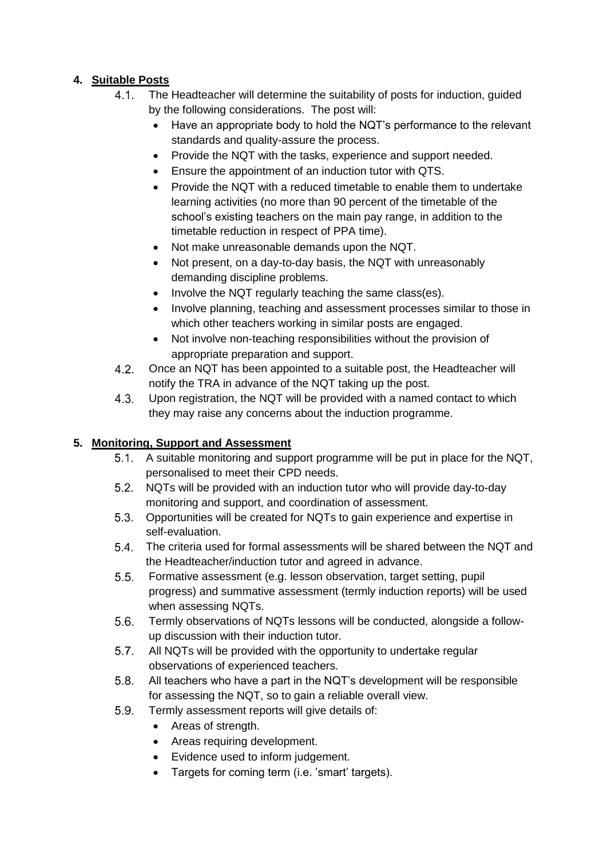# **4. Suitable Posts**

- $4.1.$ The Headteacher will determine the suitability of posts for induction, guided by the following considerations. The post will:
	- Have an appropriate body to hold the NQT's performance to the relevant standards and quality-assure the process.
	- Provide the NQT with the tasks, experience and support needed.
	- Ensure the appointment of an induction tutor with QTS.
	- Provide the NQT with a reduced timetable to enable them to undertake learning activities (no more than 90 percent of the timetable of the school's existing teachers on the main pay range, in addition to the timetable reduction in respect of PPA time).
	- Not make unreasonable demands upon the NQT.
	- Not present, on a day-to-day basis, the NQT with unreasonably demanding discipline problems.
	- Involve the NQT regularly teaching the same class(es).
	- Involve planning, teaching and assessment processes similar to those in which other teachers working in similar posts are engaged.
	- Not involve non-teaching responsibilities without the provision of appropriate preparation and support.
- $4.2.$ Once an NQT has been appointed to a suitable post, the Headteacher will notify the TRA in advance of the NQT taking up the post.
- $4.3.$ Upon registration, the NQT will be provided with a named contact to which they may raise any concerns about the induction programme.

# **5. Monitoring, Support and Assessment**

- 5.1. A suitable monitoring and support programme will be put in place for the NQT, personalised to meet their CPD needs.
- NQTs will be provided with an induction tutor who will provide day-to-day monitoring and support, and coordination of assessment.
- Opportunities will be created for NQTs to gain experience and expertise in self-evaluation.
- The criteria used for formal assessments will be shared between the NQT and  $5.4.$ the Headteacher/induction tutor and agreed in advance.
- $5.5.$ Formative assessment (e.g. lesson observation, target setting, pupil progress) and summative assessment (termly induction reports) will be used when assessing NQTs.
- $5.6.$ Termly observations of NQTs lessons will be conducted, alongside a followup discussion with their induction tutor.
- $5.7.$ All NQTs will be provided with the opportunity to undertake regular observations of experienced teachers.
- $5.8.$ All teachers who have a part in the NQT's development will be responsible for assessing the NQT, so to gain a reliable overall view.
- $5.9.$ Termly assessment reports will give details of:
	- Areas of strength.
	- Areas requiring development.
	- Evidence used to inform judgement.
	- Targets for coming term (i.e. 'smart' targets).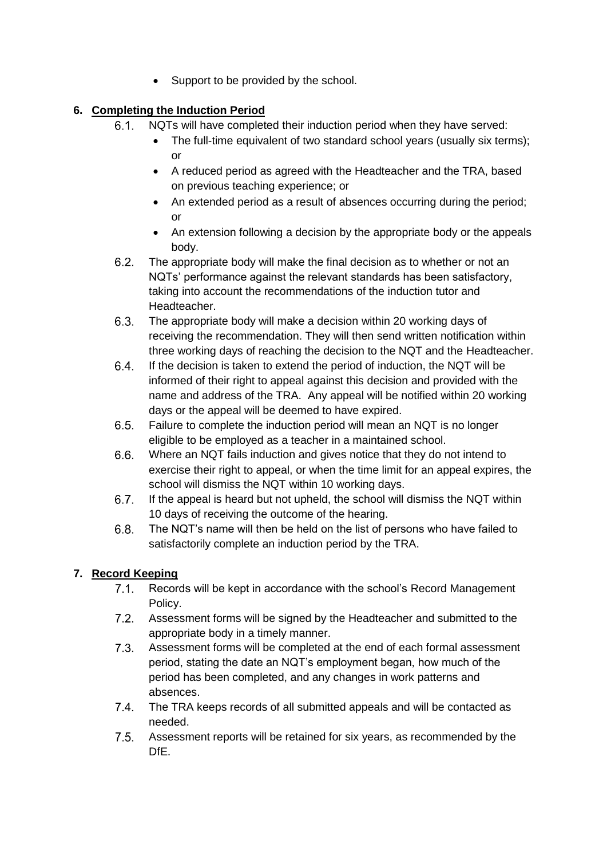• Support to be provided by the school.

# **6. Completing the Induction Period**

- $6.1.$ NQTs will have completed their induction period when they have served:
	- The full-time equivalent of two standard school years (usually six terms); or
	- A reduced period as agreed with the Headteacher and the TRA, based on previous teaching experience; or
	- An extended period as a result of absences occurring during the period; or
	- An extension following a decision by the appropriate body or the appeals body.
- $6.2.$ The appropriate body will make the final decision as to whether or not an NQTs' performance against the relevant standards has been satisfactory, taking into account the recommendations of the induction tutor and Headteacher.
- $6.3.$ The appropriate body will make a decision within 20 working days of receiving the recommendation. They will then send written notification within three working days of reaching the decision to the NQT and the Headteacher.
- $6.4.$ If the decision is taken to extend the period of induction, the NQT will be informed of their right to appeal against this decision and provided with the name and address of the TRA. Any appeal will be notified within 20 working days or the appeal will be deemed to have expired.
- $6.5.$ Failure to complete the induction period will mean an NQT is no longer eligible to be employed as a teacher in a maintained school.
- $6.6.$ Where an NQT fails induction and gives notice that they do not intend to exercise their right to appeal, or when the time limit for an appeal expires, the school will dismiss the NQT within 10 working days.
- If the appeal is heard but not upheld, the school will dismiss the NQT within  $6.7.$ 10 days of receiving the outcome of the hearing.
- $6.8.$ The NQT's name will then be held on the list of persons who have failed to satisfactorily complete an induction period by the TRA.

# **7. Record Keeping**

- $7.1$ Records will be kept in accordance with the school's Record Management Policy.
- $7.2.$ Assessment forms will be signed by the Headteacher and submitted to the appropriate body in a timely manner.
- $7.3$ Assessment forms will be completed at the end of each formal assessment period, stating the date an NQT's employment began, how much of the period has been completed, and any changes in work patterns and absences.
- $7.4.$ The TRA keeps records of all submitted appeals and will be contacted as needed.
- $7.5.$ Assessment reports will be retained for six years, as recommended by the DfE.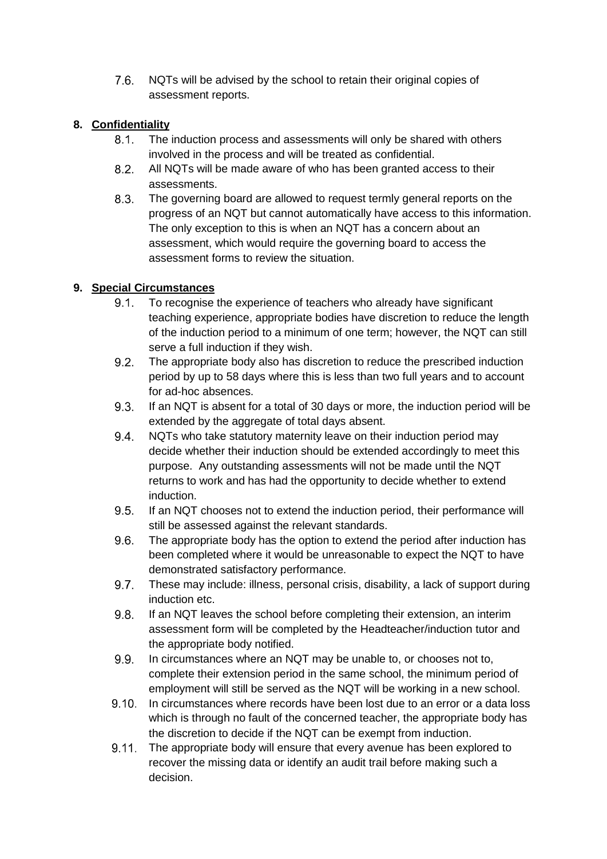$7.6.$ NQTs will be advised by the school to retain their original copies of assessment reports.

## **8. Confidentiality**

- $8.1.$ The induction process and assessments will only be shared with others involved in the process and will be treated as confidential.
- $8.2.$ All NQTs will be made aware of who has been granted access to their assessments.
- $8.3.$ The governing board are allowed to request termly general reports on the progress of an NQT but cannot automatically have access to this information. The only exception to this is when an NQT has a concern about an assessment, which would require the governing board to access the assessment forms to review the situation.

## **9. Special Circumstances**

- $9.1.$ To recognise the experience of teachers who already have significant teaching experience, appropriate bodies have discretion to reduce the length of the induction period to a minimum of one term; however, the NQT can still serve a full induction if they wish.
- $9.2.$ The appropriate body also has discretion to reduce the prescribed induction period by up to 58 days where this is less than two full years and to account for ad-hoc absences.
- If an NQT is absent for a total of 30 days or more, the induction period will be  $9.3.$ extended by the aggregate of total days absent.
- $9.4.$ NQTs who take statutory maternity leave on their induction period may decide whether their induction should be extended accordingly to meet this purpose. Any outstanding assessments will not be made until the NQT returns to work and has had the opportunity to decide whether to extend induction.
- $9.5.$ If an NQT chooses not to extend the induction period, their performance will still be assessed against the relevant standards.
- $9.6.$ The appropriate body has the option to extend the period after induction has been completed where it would be unreasonable to expect the NQT to have demonstrated satisfactory performance.
- $9.7.$ These may include: illness, personal crisis, disability, a lack of support during induction etc.
- If an NQT leaves the school before completing their extension, an interim  $9.8.$ assessment form will be completed by the Headteacher/induction tutor and the appropriate body notified.
- $9.9.$ In circumstances where an NQT may be unable to, or chooses not to, complete their extension period in the same school, the minimum period of employment will still be served as the NQT will be working in a new school.
- $9.10.$ In circumstances where records have been lost due to an error or a data loss which is through no fault of the concerned teacher, the appropriate body has the discretion to decide if the NQT can be exempt from induction.
- $9.11.$ The appropriate body will ensure that every avenue has been explored to recover the missing data or identify an audit trail before making such a decision.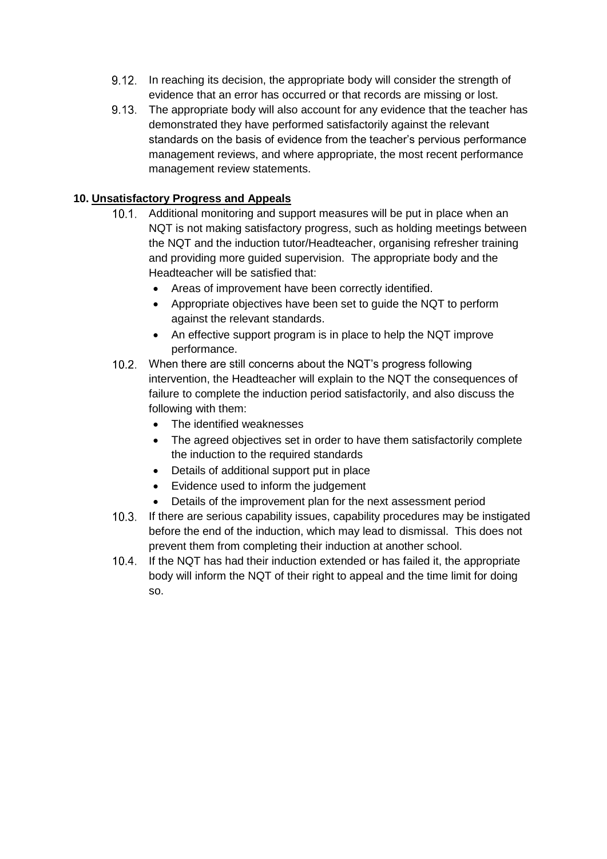- 9.12. In reaching its decision, the appropriate body will consider the strength of evidence that an error has occurred or that records are missing or lost.
- The appropriate body will also account for any evidence that the teacher has demonstrated they have performed satisfactorily against the relevant standards on the basis of evidence from the teacher's pervious performance management reviews, and where appropriate, the most recent performance management review statements.

## **10. Unsatisfactory Progress and Appeals**

- 10.1. Additional monitoring and support measures will be put in place when an NQT is not making satisfactory progress, such as holding meetings between the NQT and the induction tutor/Headteacher, organising refresher training and providing more guided supervision. The appropriate body and the Headteacher will be satisfied that:
	- Areas of improvement have been correctly identified.
	- Appropriate objectives have been set to guide the NQT to perform against the relevant standards.
	- An effective support program is in place to help the NQT improve performance.
- When there are still concerns about the NQT's progress following intervention, the Headteacher will explain to the NQT the consequences of failure to complete the induction period satisfactorily, and also discuss the following with them:
	- The identified weaknesses
	- The agreed objectives set in order to have them satisfactorily complete the induction to the required standards
	- Details of additional support put in place
	- Evidence used to inform the judgement
	- Details of the improvement plan for the next assessment period
- If there are serious capability issues, capability procedures may be instigated before the end of the induction, which may lead to dismissal. This does not prevent them from completing their induction at another school.
- 10.4. If the NQT has had their induction extended or has failed it, the appropriate body will inform the NQT of their right to appeal and the time limit for doing so.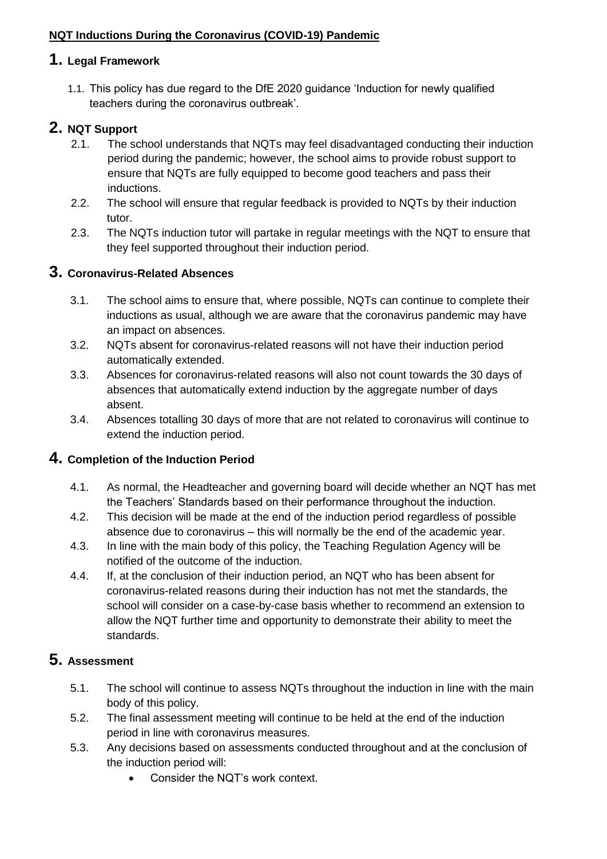# **NQT Inductions During the Coronavirus (COVID-19) Pandemic**

# **1. Legal Framework**

1.1. This policy has due regard to the DfE 2020 guidance 'Induction for newly qualified teachers during the coronavirus outbreak'.

# **2. NQT Support**

- 2.1. The school understands that NQTs may feel disadvantaged conducting their induction period during the pandemic; however, the school aims to provide robust support to ensure that NQTs are fully equipped to become good teachers and pass their inductions.
- 2.2. The school will ensure that regular feedback is provided to NQTs by their induction tutor.
- 2.3. The NQTs induction tutor will partake in regular meetings with the NQT to ensure that they feel supported throughout their induction period.

# **3. Coronavirus-Related Absences**

- 3.1. The school aims to ensure that, where possible, NQTs can continue to complete their inductions as usual, although we are aware that the coronavirus pandemic may have an impact on absences.
- 3.2. NQTs absent for coronavirus-related reasons will not have their induction period automatically extended.
- 3.3. Absences for coronavirus-related reasons will also not count towards the 30 days of absences that automatically extend induction by the aggregate number of days absent.
- 3.4. Absences totalling 30 days of more that are not related to coronavirus will continue to extend the induction period.

# **4. Completion of the Induction Period**

- 4.1. As normal, the Headteacher and governing board will decide whether an NQT has met the Teachers' Standards based on their performance throughout the induction.
- 4.2. This decision will be made at the end of the induction period regardless of possible absence due to coronavirus – this will normally be the end of the academic year.
- 4.3. In line with the main body of this policy, the Teaching Regulation Agency will be notified of the outcome of the induction.
- 4.4. If, at the conclusion of their induction period, an NQT who has been absent for coronavirus-related reasons during their induction has not met the standards, the school will consider on a case-by-case basis whether to recommend an extension to allow the NQT further time and opportunity to demonstrate their ability to meet the standards.

# **5. Assessment**

- 5.1. The school will continue to assess NQTs throughout the induction in line with the main body of this policy.
- 5.2. The final assessment meeting will continue to be held at the end of the induction period in line with coronavirus measures.
- 5.3. Any decisions based on assessments conducted throughout and at the conclusion of the induction period will:
	- Consider the NQT's work context.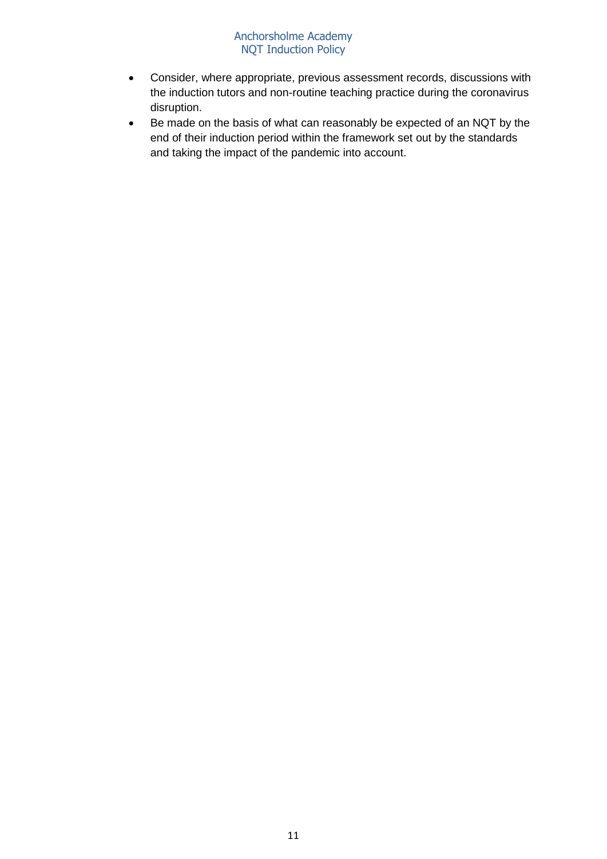#### Anchorsholme Academy NQT Induction Policy

- Consider, where appropriate, previous assessment records, discussions with the induction tutors and non-routine teaching practice during the coronavirus disruption.
- Be made on the basis of what can reasonably be expected of an NQT by the end of their induction period within the framework set out by the standards and taking the impact of the pandemic into account.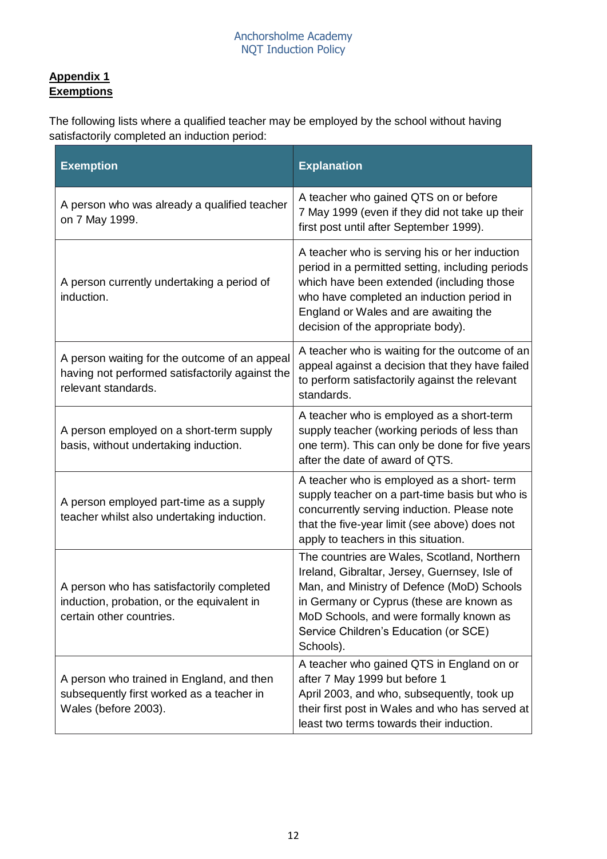# **Appendix 1 Exemptions**

The following lists where a qualified teacher may be employed by the school without having satisfactorily completed an induction period:

| <b>Exemption</b>                                                                                                        | <b>Explanation</b>                                                                                                                                                                                                                                                                      |
|-------------------------------------------------------------------------------------------------------------------------|-----------------------------------------------------------------------------------------------------------------------------------------------------------------------------------------------------------------------------------------------------------------------------------------|
| A person who was already a qualified teacher<br>on 7 May 1999.                                                          | A teacher who gained QTS on or before<br>7 May 1999 (even if they did not take up their<br>first post until after September 1999).                                                                                                                                                      |
| A person currently undertaking a period of<br>induction.                                                                | A teacher who is serving his or her induction<br>period in a permitted setting, including periods<br>which have been extended (including those<br>who have completed an induction period in<br>England or Wales and are awaiting the<br>decision of the appropriate body).              |
| A person waiting for the outcome of an appeal<br>having not performed satisfactorily against the<br>relevant standards. | A teacher who is waiting for the outcome of an<br>appeal against a decision that they have failed<br>to perform satisfactorily against the relevant<br>standards.                                                                                                                       |
| A person employed on a short-term supply<br>basis, without undertaking induction.                                       | A teacher who is employed as a short-term<br>supply teacher (working periods of less than<br>one term). This can only be done for five years<br>after the date of award of QTS.                                                                                                         |
| A person employed part-time as a supply<br>teacher whilst also undertaking induction.                                   | A teacher who is employed as a short- term<br>supply teacher on a part-time basis but who is<br>concurrently serving induction. Please note<br>that the five-year limit (see above) does not<br>apply to teachers in this situation.                                                    |
| A person who has satisfactorily completed<br>induction, probation, or the equivalent in<br>certain other countries.     | The countries are Wales, Scotland, Northern<br>Ireland, Gibraltar, Jersey, Guernsey, Isle of<br>Man, and Ministry of Defence (MoD) Schools<br>in Germany or Cyprus (these are known as<br>MoD Schools, and were formally known as<br>Service Children's Education (or SCE)<br>Schools). |
| A person who trained in England, and then<br>subsequently first worked as a teacher in<br>Wales (before 2003).          | A teacher who gained QTS in England on or<br>after 7 May 1999 but before 1<br>April 2003, and who, subsequently, took up<br>their first post in Wales and who has served at<br>least two terms towards their induction.                                                                 |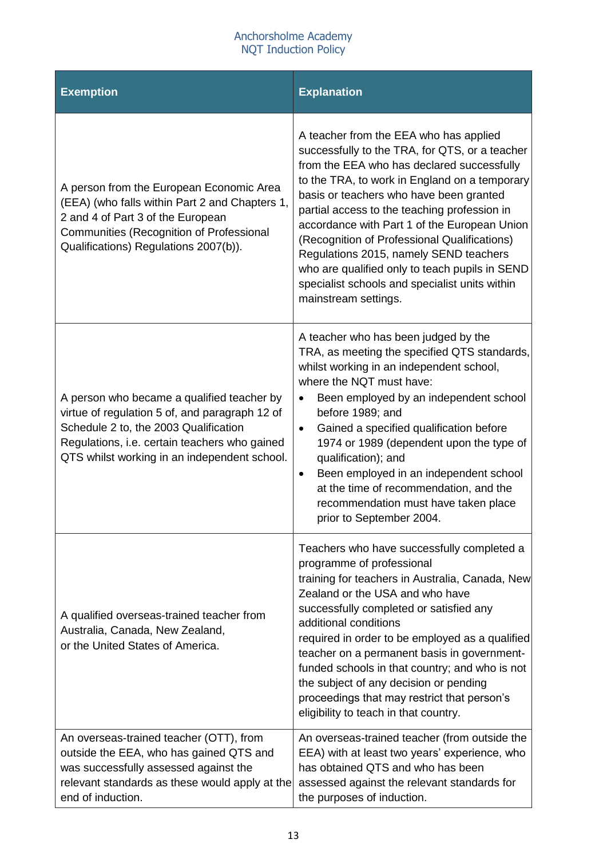#### Anchorsholme Academy NQT Induction Policy

| <b>Exemption</b>                                                                                                                                                                                                                       | <b>Explanation</b>                                                                                                                                                                                                                                                                                                                                                                                                                                                                                                                                       |
|----------------------------------------------------------------------------------------------------------------------------------------------------------------------------------------------------------------------------------------|----------------------------------------------------------------------------------------------------------------------------------------------------------------------------------------------------------------------------------------------------------------------------------------------------------------------------------------------------------------------------------------------------------------------------------------------------------------------------------------------------------------------------------------------------------|
| A person from the European Economic Area<br>(EEA) (who falls within Part 2 and Chapters 1,<br>2 and 4 of Part 3 of the European<br>Communities (Recognition of Professional<br>Qualifications) Regulations 2007(b)).                   | A teacher from the EEA who has applied<br>successfully to the TRA, for QTS, or a teacher<br>from the EEA who has declared successfully<br>to the TRA, to work in England on a temporary<br>basis or teachers who have been granted<br>partial access to the teaching profession in<br>accordance with Part 1 of the European Union<br>(Recognition of Professional Qualifications)<br>Regulations 2015, namely SEND teachers<br>who are qualified only to teach pupils in SEND<br>specialist schools and specialist units within<br>mainstream settings. |
| A person who became a qualified teacher by<br>virtue of regulation 5 of, and paragraph 12 of<br>Schedule 2 to, the 2003 Qualification<br>Regulations, i.e. certain teachers who gained<br>QTS whilst working in an independent school. | A teacher who has been judged by the<br>TRA, as meeting the specified QTS standards,<br>whilst working in an independent school,<br>where the NQT must have:<br>Been employed by an independent school<br>before 1989; and<br>Gained a specified qualification before<br>$\bullet$<br>1974 or 1989 (dependent upon the type of<br>qualification); and<br>Been employed in an independent school<br>$\bullet$<br>at the time of recommendation, and the<br>recommendation must have taken place<br>prior to September 2004.                               |
| A qualified overseas-trained teacher from<br>Australia, Canada, New Zealand,<br>or the United States of America.                                                                                                                       | Teachers who have successfully completed a<br>programme of professional<br>training for teachers in Australia, Canada, New<br>Zealand or the USA and who have<br>successfully completed or satisfied any<br>additional conditions<br>required in order to be employed as a qualified<br>teacher on a permanent basis in government-<br>funded schools in that country; and who is not<br>the subject of any decision or pending<br>proceedings that may restrict that person's<br>eligibility to teach in that country.                                  |
| An overseas-trained teacher (OTT), from<br>outside the EEA, who has gained QTS and<br>was successfully assessed against the<br>relevant standards as these would apply at the<br>end of induction.                                     | An overseas-trained teacher (from outside the<br>EEA) with at least two years' experience, who<br>has obtained QTS and who has been<br>assessed against the relevant standards for<br>the purposes of induction.                                                                                                                                                                                                                                                                                                                                         |